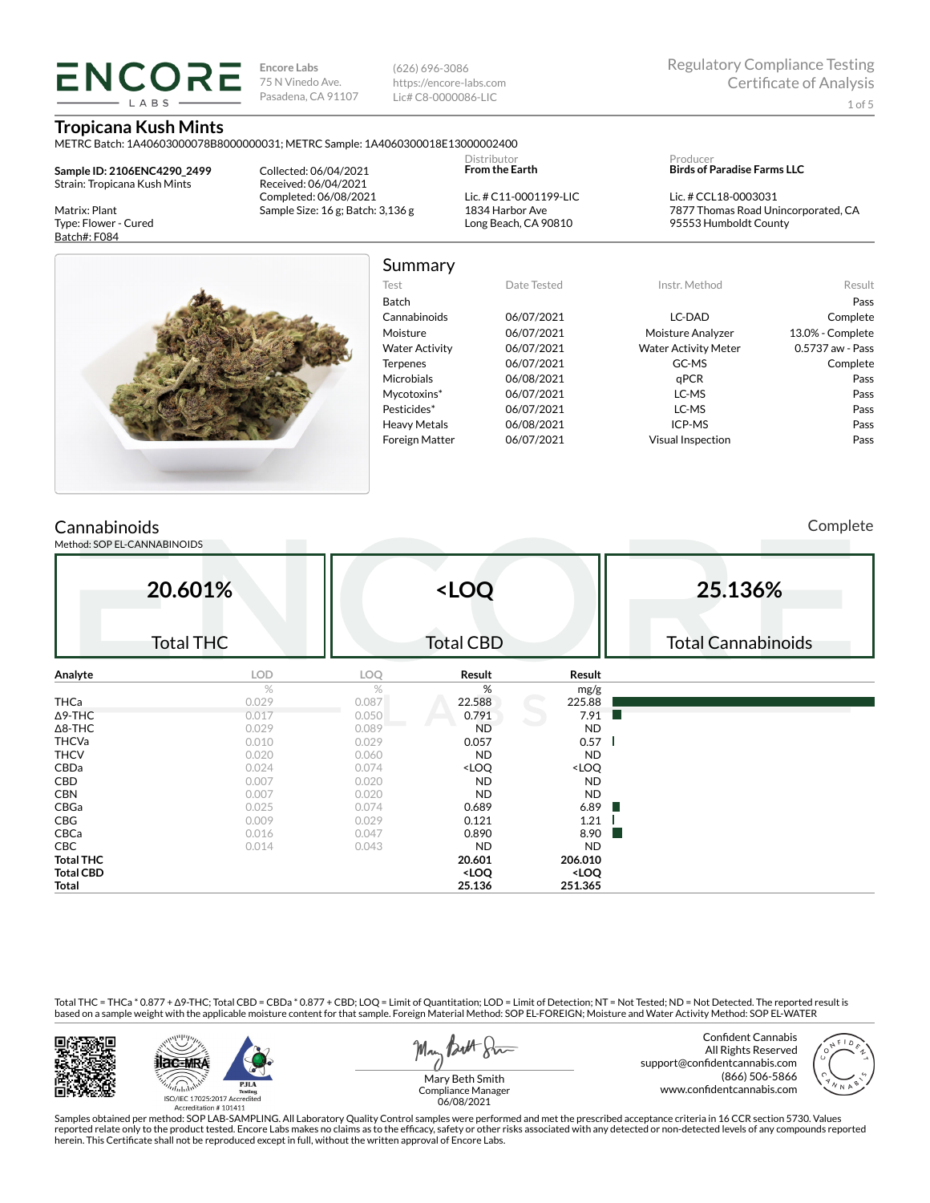**Encore Labs** 75 N Vinedo Ave. Pasadena, CA 91107

**Tropicana Kush Mints**

**ENCORE LARS** 

(626) 696-3086 https://encore-labs.com Lic# C8-0000086-LIC

| METRC Batch: 1A40603000078B8000000031; METRC Sample: 1A4060300018E13000002400 |                                                            |                       |                                                                   |                                       |                                                             |                  |  |  |
|-------------------------------------------------------------------------------|------------------------------------------------------------|-----------------------|-------------------------------------------------------------------|---------------------------------------|-------------------------------------------------------------|------------------|--|--|
| Sample ID: 2106ENC4290 2499                                                   | Collected: 06/04/2021                                      |                       | Distributor<br><b>From the Earth</b>                              |                                       | Producer<br><b>Birds of Paradise Farms LLC</b>              |                  |  |  |
| Strain: Tropicana Kush Mints<br>Received: 06/04/2021                          |                                                            |                       |                                                                   |                                       |                                                             |                  |  |  |
| Matrix: Plant                                                                 | Completed: 06/08/2021<br>Sample Size: 16 g; Batch: 3,136 g |                       | Lic. # C11-0001199-LIC<br>1834 Harbor Ave                         |                                       | Lic. # CCL18-0003031<br>7877 Thomas Road Unincorporated, CA |                  |  |  |
| Type: Flower - Cured                                                          |                                                            |                       | Long Beach, CA 90810                                              |                                       | 95553 Humboldt County                                       |                  |  |  |
| Batch#: F084                                                                  |                                                            |                       |                                                                   |                                       |                                                             |                  |  |  |
|                                                                               |                                                            | Summary               |                                                                   |                                       |                                                             |                  |  |  |
|                                                                               |                                                            | Test                  | Date Tested                                                       |                                       | Instr. Method                                               | Result           |  |  |
|                                                                               |                                                            | Batch                 |                                                                   |                                       |                                                             | Pass             |  |  |
|                                                                               |                                                            | Cannabinoids          | 06/07/2021                                                        |                                       | LC-DAD                                                      | Complete         |  |  |
|                                                                               |                                                            | Moisture              | 06/07/2021                                                        |                                       | Moisture Analyzer                                           | 13.0% - Complete |  |  |
|                                                                               |                                                            | <b>Water Activity</b> | 06/07/2021                                                        |                                       | <b>Water Activity Meter</b>                                 | 0.5737 aw - Pass |  |  |
|                                                                               |                                                            | <b>Terpenes</b>       | 06/07/2021                                                        |                                       | GC-MS                                                       | Complete         |  |  |
|                                                                               |                                                            | Microbials            | 06/08/2021                                                        |                                       | qPCR                                                        | Pass             |  |  |
|                                                                               |                                                            | Mycotoxins*           | 06/07/2021                                                        |                                       | LC-MS                                                       | Pass             |  |  |
|                                                                               |                                                            | Pesticides*           | 06/07/2021                                                        |                                       | LC-MS                                                       | Pass             |  |  |
|                                                                               |                                                            | <b>Heavy Metals</b>   | 06/08/2021                                                        |                                       | ICP-MS                                                      | Pass             |  |  |
|                                                                               |                                                            | Foreign Matter        | 06/07/2021                                                        |                                       | Visual Inspection                                           | Pass             |  |  |
| Cannabinoids<br>Method: SOP EL-CANNABINOIDS                                   |                                                            |                       |                                                                   |                                       |                                                             | Complete         |  |  |
| 20.601%                                                                       |                                                            |                       | <loq< th=""><th></th><th>25.136%</th><th></th></loq<>             |                                       | 25.136%                                                     |                  |  |  |
|                                                                               |                                                            |                       |                                                                   |                                       |                                                             |                  |  |  |
| <b>Total THC</b>                                                              |                                                            |                       | <b>Total CBD</b>                                                  |                                       | <b>Total Cannabinoids</b>                                   |                  |  |  |
| Analyte                                                                       | <b>LOD</b>                                                 | LOQ                   | Result                                                            | Result                                |                                                             |                  |  |  |
|                                                                               | $\%$                                                       | $\%$                  | $\%$                                                              | mg/g                                  |                                                             |                  |  |  |
| <b>THCa</b><br>$\Delta$ 9-THC                                                 | 0.029<br>0.017                                             | 0.087<br>0.050        | 22.588<br>0.791                                                   | 225.88<br>7.91                        |                                                             |                  |  |  |
| $\Delta$ 8-THC                                                                | 0.029                                                      | 0.089                 | <b>ND</b>                                                         | <b>ND</b>                             |                                                             |                  |  |  |
| <b>THCVa</b>                                                                  | 0.010                                                      | 0.029                 | 0.057                                                             | 0.57                                  |                                                             |                  |  |  |
| <b>THCV</b>                                                                   | 0.020                                                      | 0.060                 | <b>ND</b>                                                         | <b>ND</b>                             |                                                             |                  |  |  |
| CBDa                                                                          | 0.024                                                      | 0.074                 | <loq< td=""><td><loq< td=""><td></td><td></td></loq<></td></loq<> | <loq< td=""><td></td><td></td></loq<> |                                                             |                  |  |  |
| CBD<br><b>CBN</b>                                                             | 0.007<br>0.007                                             | 0.020<br>0.020        | <b>ND</b><br><b>ND</b>                                            | <b>ND</b><br><b>ND</b>                |                                                             |                  |  |  |
| CBGa                                                                          | 0.025                                                      | 0.074                 | 0.689                                                             | 6.89                                  |                                                             |                  |  |  |
| <b>CBG</b>                                                                    | 0.009                                                      | 0.029                 | 0.121                                                             | 1.21                                  |                                                             |                  |  |  |

Total THC = THCa \* 0.877 + ∆9-THC; Total CBD = CBDa \* 0.877 + CBD; LOQ = Limit of Quantitation; LOD = Limit of Detection; NT = Not Tested; ND = Not Detected. The reported result is based on a sample weight with the applicable moisture content for that sample. Foreign Material Method: SOP EL-FOREIGN; Moisture and Water Activity Method: SOP EL-WATER

**CBCa** 8.90 **0.016** 0.047 **0.890 8.90 CBC** 0.014 0.043 ND ND **Total THC 20.601 206.010 Total CBD <LOQ <LOQ Total 25.136 251.365**





May Both Stre

Confident Cannabis All Rights Reserved support@confidentcannabis.com (866) 506-5866 www.confidentcannabis.com

 $\sim$ 

Mary Beth Smith Compliance Manager 06/08/2021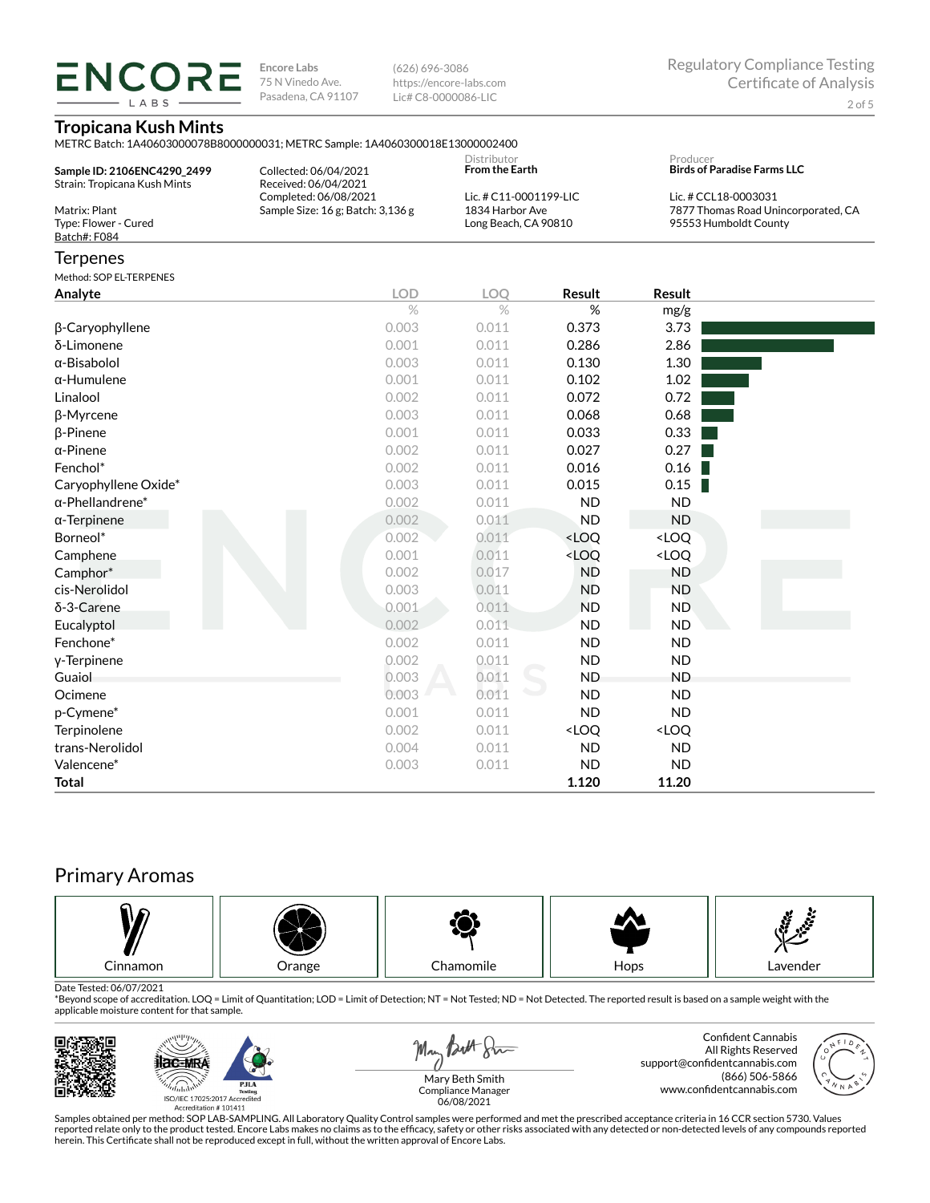**ENCORE** LABS

**Encore Labs** 75 N Vinedo Ave. Pasadena, CA 91107 (626) 696-3086 https://encore-labs.com Lic# C8-0000086-LIC

## **Tropicana Kush Mints**

METRC Batch: 1A40603000078B8000000031; METRC Sample: 1A4060300018E13000002400

| Sample ID: 2106ENC4290 2499<br>Strain: Tropicana Kush Mints | Collected: 06/04/2021<br>Received: 06/04/2021                  | Distributor<br><b>From the Earth</b>      |        | Producer                                                                             | <b>Birds of Paradise Farms LLC</b> |  |
|-------------------------------------------------------------|----------------------------------------------------------------|-------------------------------------------|--------|--------------------------------------------------------------------------------------|------------------------------------|--|
| Matrix: Plant                                               | Completed: 06/08/2021<br>Sample Size: $16$ g; Batch: $3,136$ g | Lic. # C11-0001199-LIC<br>1834 Harbor Ave |        | Lic. # CCL18-0003031<br>7877 Thomas Road Unincorporated, CA<br>95553 Humboldt County |                                    |  |
| Type: Flower - Cured<br>Batch#: F084                        |                                                                | Long Beach, CA 90810                      |        |                                                                                      |                                    |  |
| <b>Terpenes</b>                                             |                                                                |                                           |        |                                                                                      |                                    |  |
| Method: SOP EL-TERPENES                                     |                                                                |                                           |        |                                                                                      |                                    |  |
| Analyte                                                     | <b>LOD</b>                                                     | LOO                                       | Result | <b>Result</b>                                                                        |                                    |  |
|                                                             | $\%$                                                           | $\frac{0}{2}$                             | %      | mg/g                                                                                 |                                    |  |
| $\beta$ -Caryophyllene                                      | 0.003                                                          | 0.011                                     | 0.373  | 3.73                                                                                 |                                    |  |
| δ-Limonene                                                  | 0.001                                                          | 0.011                                     | 0.286  | 2.86                                                                                 |                                    |  |

| δ-Limonene              | 0.001 | 0.011 | 0.286                                                    | 2.86                         |  |
|-------------------------|-------|-------|----------------------------------------------------------|------------------------------|--|
| α-Bisabolol             | 0.003 | 0.011 | 0.130                                                    | 1.30                         |  |
| $\alpha$ -Humulene      | 0.001 | 0.011 | 0.102                                                    | 1.02                         |  |
| Linalool                | 0.002 | 0.011 | 0.072                                                    | 0.72                         |  |
| β-Myrcene               | 0.003 | 0.011 | 0.068                                                    | 0.68                         |  |
| $\beta$ -Pinene         | 0.001 | 0.011 | 0.033                                                    | 0.33                         |  |
| $\alpha$ -Pinene        | 0.002 | 0.011 | 0.027                                                    | 0.27                         |  |
| Fenchol*                | 0.002 | 0.011 | 0.016                                                    | 0.16                         |  |
| Caryophyllene Oxide*    | 0.003 | 0.011 | 0.015                                                    | 0.15                         |  |
| $\alpha$ -Phellandrene* | 0.002 | 0.011 | <b>ND</b>                                                | ND                           |  |
| $\alpha$ -Terpinene     | 0.002 | 0.011 | <b>ND</b>                                                | ND                           |  |
| Borneol*                | 0.002 | 0.011 | <loq< th=""><th><loq< th=""><th></th></loq<></th></loq<> | <loq< th=""><th></th></loq<> |  |
| Camphene                | 0.001 | 0.011 | <loq< th=""><th><loq< th=""><th></th></loq<></th></loq<> | <loq< th=""><th></th></loq<> |  |
| Camphor*                | 0.002 | 0.017 | <b>ND</b>                                                | ND                           |  |
| cis-Nerolidol           | 0.003 | 0.011 | <b>ND</b>                                                | <b>ND</b>                    |  |
| δ-3-Carene              | 0.001 | 0.011 | <b>ND</b>                                                | ND.                          |  |
| Eucalyptol              | 0.002 | 0.011 | <b>ND</b>                                                | <b>ND</b>                    |  |
| Fenchone*               | 0.002 | 0.011 | <b>ND</b>                                                | <b>ND</b>                    |  |
| y-Terpinene             | 0.002 | 0.011 | <b>ND</b>                                                | <b>ND</b>                    |  |
| Guaiol                  | 0.003 | 0.011 | <b>ND</b>                                                | <b>ND</b>                    |  |
| Ocimene                 | 0.003 | 0.011 | <b>ND</b>                                                | <b>ND</b>                    |  |
| p-Cymene*               | 0.001 | 0.011 | <b>ND</b>                                                | <b>ND</b>                    |  |
| Terpinolene             | 0.002 | 0.011 | <loq< th=""><th><loq< th=""><th></th></loq<></th></loq<> | <loq< th=""><th></th></loq<> |  |
| trans-Nerolidol         | 0.004 | 0.011 | ND                                                       | <b>ND</b>                    |  |
| Valencene*              | 0.003 | 0.011 | <b>ND</b>                                                | <b>ND</b>                    |  |
| Total                   |       |       | 1.120                                                    | 11.20                        |  |

# Primary Aromas



Date Tested: 06/07/2021<br>\*Beyond scope of accreditation. LOQ = Limit of Quantitation; LOD = Limit of Detection; NT = Not Tested; ND = Not Detected. The reported result is based on a sample weight with the applicable moisture content for that sample.



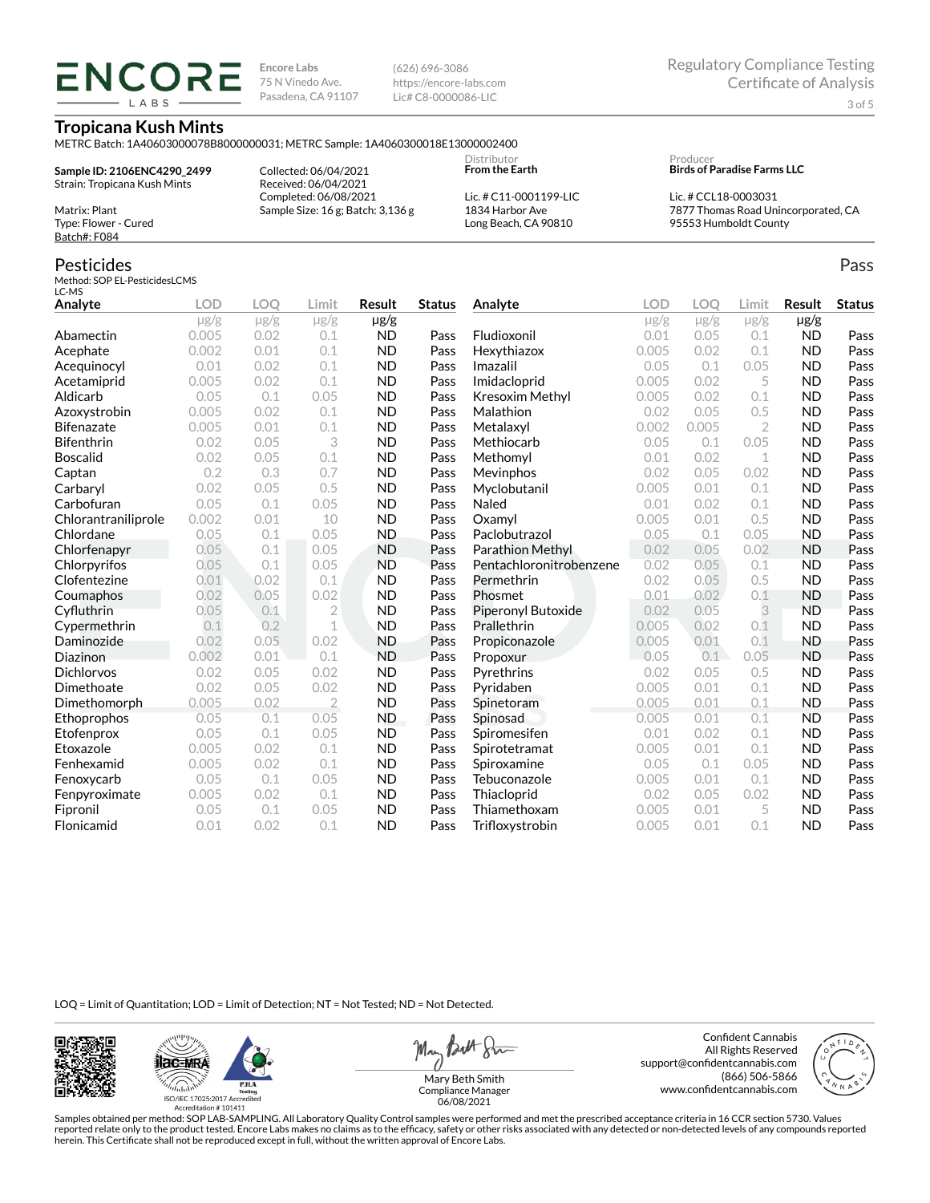**ENCORE Encore Labs** 75 N Vinedo Ave. Pasadena, CA 91107 LABS

(626) 696-3086 https://encore-labs.com Lic# C8-0000086-LIC

Regulatory Compliance Testing Certificate of Analysis 3 of 5

#### **Tropicana Kush Mints**

METRC Batch: 1A40603000078B8000000031; METRC Sample: 1A4060300018E13000002400

**Sample ID: 2106ENC4290\_2499** Strain: Tropicana Kush Mints

Collected: 06/04/2021 Received: 06/04/2021 Completed: 06/08/2021 Sample Size: 16 g; Batch: 3,136 g **From the Earth** Lic. # C11-0001199-LIC 1834 Harbor Ave

Long Beach, CA 90810

Distributor

Producer **Birds of Paradise Farms LLC**

Lic. # CCL18-0003031 7877 Thomas Road Unincorporated, CA 95553 Humboldt County

Batch#: F084

Matrix: Plant Type: Flower - Cured

# Pesticides

Method: SOP EL-PesticidesLCMS LC-MS

| Analyte             | <b>LOD</b> | <b>LOO</b> | Limit          | <b>Result</b> | <b>Status</b> | Analyte                 | <b>LOD</b> | <b>LOO</b> | Limit     | <b>Result</b> | <b>Status</b> |
|---------------------|------------|------------|----------------|---------------|---------------|-------------------------|------------|------------|-----------|---------------|---------------|
|                     | $\mu$ g/g  | $\mu$ g/g  | $\mu$ g/g      | $\mu$ g/g     |               |                         | $\mu$ g/g  | $\mu$ g/g  | $\mu$ g/g | $\mu$ g/g     |               |
| Abamectin           | 0.005      | 0.02       | 0.1            | <b>ND</b>     | Pass          | Fludioxonil             | 0.01       | 0.05       | 0.1       | <b>ND</b>     | Pass          |
| Acephate            | 0.002      | 0.01       | 0.1            | <b>ND</b>     | Pass          | Hexythiazox             | 0.005      | 0.02       | 0.1       | <b>ND</b>     | Pass          |
| Acequinocyl         | 0.01       | 0.02       | 0.1            | <b>ND</b>     | Pass          | Imazalil                | 0.05       | 0.1        | 0.05      | <b>ND</b>     | Pass          |
| Acetamiprid         | 0.005      | 0.02       | 0.1            | <b>ND</b>     | Pass          | Imidacloprid            | 0.005      | 0.02       | 5         | <b>ND</b>     | Pass          |
| Aldicarb            | 0.05       | 0.1        | 0.05           | <b>ND</b>     | Pass          | Kresoxim Methyl         | 0.005      | 0.02       | 0.1       | <b>ND</b>     | Pass          |
| Azoxystrobin        | 0.005      | 0.02       | 0.1            | <b>ND</b>     | Pass          | Malathion               | 0.02       | 0.05       | 0.5       | <b>ND</b>     | Pass          |
| <b>Bifenazate</b>   | 0.005      | 0.01       | 0.1            | <b>ND</b>     | Pass          | Metalaxyl               | 0.002      | 0.005      | 2         | <b>ND</b>     | Pass          |
| <b>Bifenthrin</b>   | 0.02       | 0.05       | 3              | <b>ND</b>     | Pass          | Methiocarb              | 0.05       | 0.1        | 0.05      | <b>ND</b>     | Pass          |
| <b>Boscalid</b>     | 0.02       | 0.05       | 0.1            | <b>ND</b>     | Pass          | Methomyl                | 0.01       | 0.02       | 1         | <b>ND</b>     | Pass          |
| Captan              | 0.2        | 0.3        | 0.7            | <b>ND</b>     | Pass          | Mevinphos               | 0.02       | 0.05       | 0.02      | <b>ND</b>     | Pass          |
| Carbaryl            | 0.02       | 0.05       | 0.5            | <b>ND</b>     | Pass          | Myclobutanil            | 0.005      | 0.01       | 0.1       | <b>ND</b>     | Pass          |
| Carbofuran          | 0.05       | 0.1        | 0.05           | <b>ND</b>     | Pass          | Naled                   | 0.01       | 0.02       | 0.1       | <b>ND</b>     | Pass          |
| Chlorantraniliprole | 0.002      | 0.01       | 10             | <b>ND</b>     | Pass          | Oxamyl                  | 0.005      | 0.01       | 0.5       | <b>ND</b>     | Pass          |
| Chlordane           | 0.05       | 0.1        | 0.05           | <b>ND</b>     | Pass          | Paclobutrazol           | 0.05       | 0.1        | 0.05      | <b>ND</b>     | Pass          |
| Chlorfenapyr        | 0.05       | 0.1        | 0.05           | <b>ND</b>     | Pass          | Parathion Methyl        | 0.02       | 0.05       | 0.02      | <b>ND</b>     | Pass          |
| Chlorpyrifos        | 0.05       | 0.1        | 0.05           | <b>ND</b>     | Pass          | Pentachloronitrobenzene | 0.02       | 0.05       | 0.1       | <b>ND</b>     | Pass          |
| Clofentezine        | 0.01       | 0.02       | 0.1            | <b>ND</b>     | Pass          | Permethrin              | 0.02       | 0.05       | 0.5       | <b>ND</b>     | Pass          |
| Coumaphos           | 0.02       | 0.05       | 0.02           | <b>ND</b>     | Pass          | Phosmet                 | 0.01       | 0.02       | 0.1       | <b>ND</b>     | Pass          |
| Cyfluthrin          | 0.05       | 0.1        | $\overline{2}$ | <b>ND</b>     | Pass          | Piperonyl Butoxide      | 0.02       | 0.05       | 3         | <b>ND</b>     | Pass          |
| Cypermethrin        | 0.1        | 0.2        | $\mathbf 1$    | <b>ND</b>     | Pass          | Prallethrin             | 0.005      | 0.02       | 0.1       | <b>ND</b>     | Pass          |
| Daminozide          | 0.02       | 0.05       | 0.02           | <b>ND</b>     | Pass          | Propiconazole           | 0.005      | 0.01       | 0.1       | <b>ND</b>     | Pass          |
| Diazinon            | 0.002      | 0.01       | 0.1            | <b>ND</b>     | Pass          | Propoxur                | 0.05       | 0.1        | 0.05      | <b>ND</b>     | Pass          |
| <b>Dichlorvos</b>   | 0.02       | 0.05       | 0.02           | <b>ND</b>     | Pass          | Pyrethrins              | 0.02       | 0.05       | 0.5       | <b>ND</b>     | Pass          |
| Dimethoate          | 0.02       | 0.05       | 0.02           | <b>ND</b>     | Pass          | Pyridaben               | 0.005      | 0.01       | 0.1       | <b>ND</b>     | Pass          |
| Dimethomorph        | 0.005      | 0.02       | $\overline{2}$ | <b>ND</b>     | Pass          | Spinetoram              | 0.005      | 0.01       | 0.1       | <b>ND</b>     | Pass          |
| Ethoprophos         | 0.05       | 0.1        | 0.05           | ND.           | Pass          | Spinosad                | 0.005      | 0.01       | 0.1       | <b>ND</b>     | Pass          |
| Etofenprox          | 0.05       | 0.1        | 0.05           | <b>ND</b>     | Pass          | Spiromesifen            | 0.01       | 0.02       | 0.1       | <b>ND</b>     | Pass          |
| Etoxazole           | 0.005      | 0.02       | 0.1            | <b>ND</b>     | Pass          | Spirotetramat           | 0.005      | 0.01       | 0.1       | <b>ND</b>     | Pass          |
| Fenhexamid          | 0.005      | 0.02       | 0.1            | <b>ND</b>     | Pass          | Spiroxamine             | 0.05       | 0.1        | 0.05      | <b>ND</b>     | Pass          |
| Fenoxycarb          | 0.05       | 0.1        | 0.05           | <b>ND</b>     | Pass          | Tebuconazole            | 0.005      | 0.01       | 0.1       | <b>ND</b>     | Pass          |
| Fenpyroximate       | 0.005      | 0.02       | 0.1            | <b>ND</b>     | Pass          | Thiacloprid             | 0.02       | 0.05       | 0.02      | <b>ND</b>     | Pass          |
| Fipronil            | 0.05       | 0.1        | 0.05           | <b>ND</b>     | Pass          | Thiamethoxam            | 0.005      | 0.01       | 5         | <b>ND</b>     | Pass          |
| Flonicamid          | 0.01       | 0.02       | 0.1            | <b>ND</b>     | Pass          | Trifloxystrobin         | 0.005      | 0.01       | 0.1       | <b>ND</b>     | Pass          |

LOQ = Limit of Quantitation; LOD = Limit of Detection; NT = Not Tested; ND = Not Detected.





May Both Sun

Confident Cannabis All Rights Reserved support@confidentcannabis.com (866) 506-5866 www.confidentcannabis.com



Mary Beth Smith Compliance Manager 06/08/2021

Samples obtained per method: SOP LAB-SAMPLING. All Laboratory Quality Control samples were performed and met the prescribed acceptance criteria in 16 CCR section 5730. Values reported relate only to the product tested. Encore Labs makes no claims as to the efficacy, safety or other risks associated with any detected or non-detected levels of any compounds reported<br>herein. This Certificate shall

Pass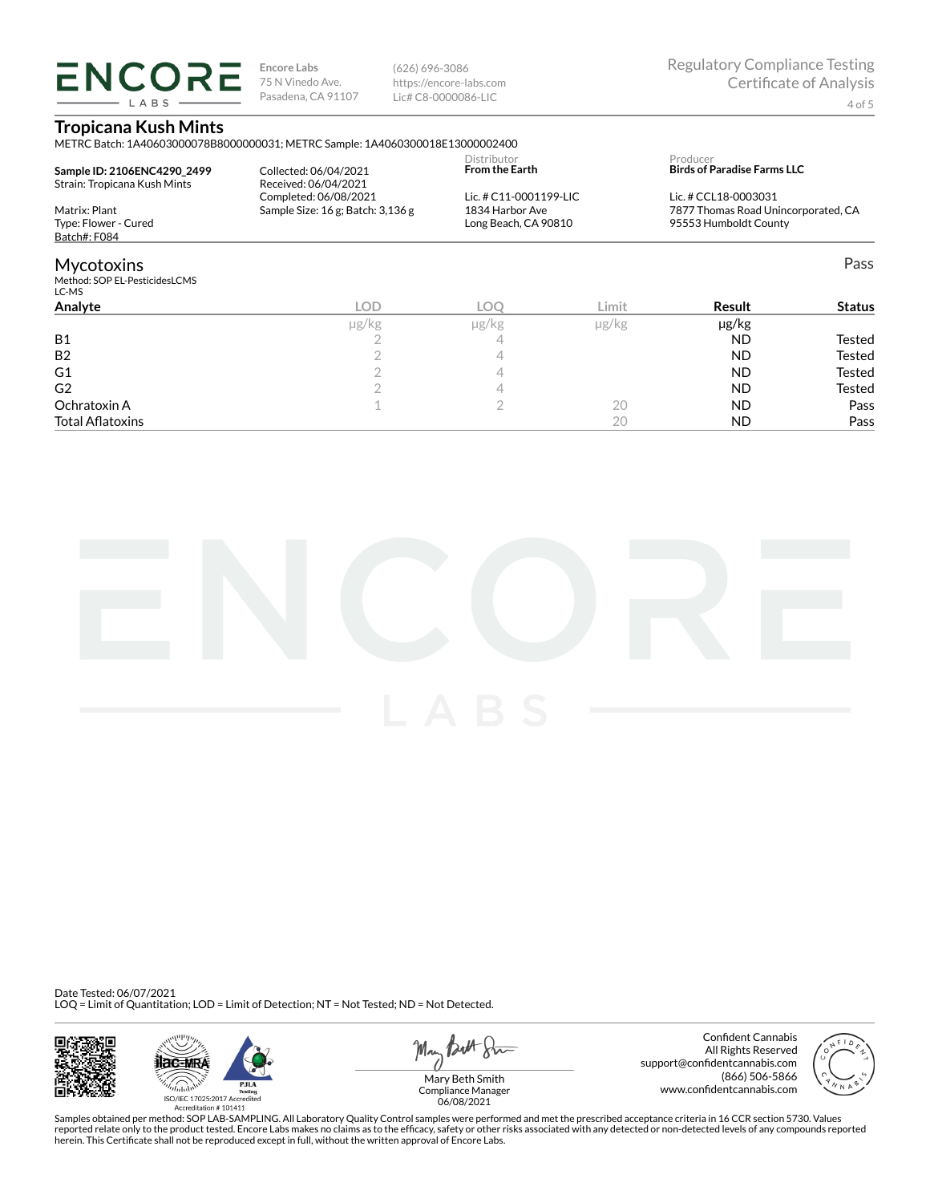**ENCORE** LABS

**Encore Labs** 75 N Vinedo Ave. Pasadena, CA 91107 (626) 696-3086 https://encore-labs.com Lic# C8-0000086-LIC

## **Tropicana Kush Mints**

|                                                             | METRC Batch: 1A40603000078B8000000031; METRC Sample: 1A4060300018E13000002400 |                                         |            |                                                                        |               |  |
|-------------------------------------------------------------|-------------------------------------------------------------------------------|-----------------------------------------|------------|------------------------------------------------------------------------|---------------|--|
| Sample ID: 2106ENC4290 2499<br>Strain: Tropicana Kush Mints | Collected: 06/04/2021<br>Received: 06/04/2021                                 | Distributor<br><b>From the Earth</b>    |            | Producer<br><b>Birds of Paradise Farms LLC</b><br>Lic. # CCL18-0003031 |               |  |
|                                                             | Completed: 06/08/2021                                                         | Lic. # C11-0001199-LIC                  |            |                                                                        |               |  |
| Matrix: Plant<br>Type: Flower - Cured<br>Batch#: F084       | Sample Size: 16 g; Batch: 3,136 g                                             | 1834 Harbor Ave<br>Long Beach, CA 90810 |            | 7877 Thomas Road Unincorporated, CA<br>95553 Humboldt County           |               |  |
| <b>Mycotoxins</b><br>Method: SOP EL-PesticidesLCMS<br>LC-MS |                                                                               |                                         |            |                                                                        | Pass          |  |
| Analyte                                                     | <b>LOD</b>                                                                    | <b>LOO</b>                              | Limit      | Result                                                                 | <b>Status</b> |  |
|                                                             | $\mu$ g/kg                                                                    | $\mu$ g/kg                              | $\mu$ g/kg | $\mu$ g/kg                                                             |               |  |
| <b>B1</b>                                                   |                                                                               | 4                                       |            | <b>ND</b>                                                              | Tested        |  |
| B <sub>2</sub>                                              |                                                                               | 4                                       |            | <b>ND</b>                                                              | Tested        |  |
| G1                                                          |                                                                               | 4                                       |            | <b>ND</b>                                                              | Tested        |  |
| G <sub>2</sub>                                              |                                                                               | 4                                       |            | <b>ND</b>                                                              | <b>Tested</b> |  |
| Ochratoxin A                                                |                                                                               | ◠                                       | 20         | <b>ND</b>                                                              | Pass          |  |

Total Aatoxins 20 ND Pass



Date Tested: 06/07/2021 LOQ = Limit of Quantitation; LOD = Limit of Detection; NT = Not Tested; ND = Not Detected.





May Butt 8mm

Confident Cannabis All Rights Reserved support@confidentcannabis.com (866) 506-5866 www.confidentcannabis.com



Compliance Manager 06/08/2021